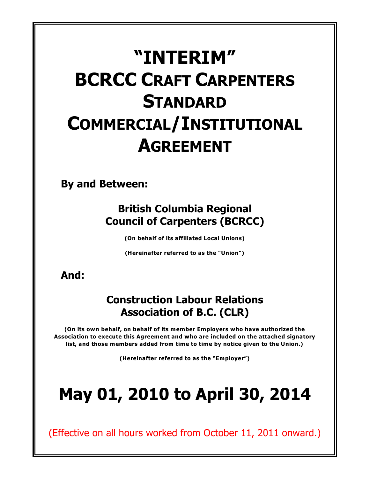# **"INTERIM" BCRCC CRAFT CARPENTERS STANDARD COMMERCIAL/INSTITUTIONAL AGREEMENT**

**By and Between:**

## **British Columbia Regional Council of Carpenters (BCRCC)**

**(On behalf of its affiliated Local Unions)**

**(Hereinafter referred to as the "Union")**

**And:**

## **Construction Labour Relations Association of B.C. (CLR)**

**(On its own behalf, on behalf of its member Employers who have authorized the Association to execute this Agreement and who are included on the attached signatory list, and those members added from time to time by notice given to the Union.)**

**(Hereinafter referred to as the "Employer")**

# **May 01, 2010 to April 30, 2014**

(Effective on all hours worked from October 11, 2011 onward.)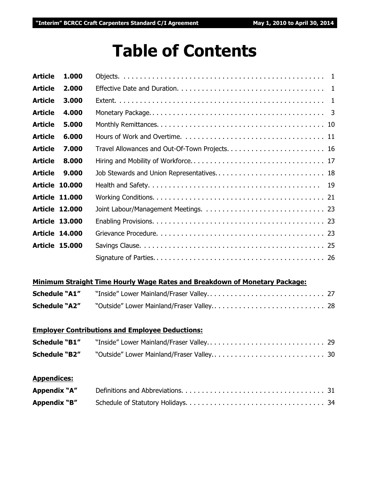## **Table of Contents**

| <b>Article</b> | 1.000                 |                                           |
|----------------|-----------------------|-------------------------------------------|
| <b>Article</b> | 2.000                 |                                           |
| <b>Article</b> | 3.000                 |                                           |
| <b>Article</b> | 4.000                 |                                           |
| <b>Article</b> | 5.000                 |                                           |
| <b>Article</b> | 6.000                 |                                           |
| <b>Article</b> | 7.000                 |                                           |
| <b>Article</b> | 8.000                 |                                           |
| <b>Article</b> | 9.000                 | Job Stewards and Union Representatives 18 |
|                | <b>Article 10.000</b> |                                           |
|                | <b>Article 11.000</b> |                                           |
|                | <b>Article 12.000</b> |                                           |
|                | <b>Article 13.000</b> |                                           |
|                | <b>Article 14,000</b> |                                           |
|                | <b>Article 15,000</b> |                                           |
|                |                       |                                           |
|                |                       |                                           |

#### **Minimum Straight Time Hourly Wage Rates and Breakdown of Monetary Package:**

| <b>Schedule "A1"</b> |  |
|----------------------|--|
| <b>Schedule "A2"</b> |  |

### **Employer Contributions and Employee Deductions:**

| <b>Schedule "B1"</b> |  |
|----------------------|--|
|                      |  |

#### **Appendices:**

| Appendix "A" |  |
|--------------|--|
| Appendix "B" |  |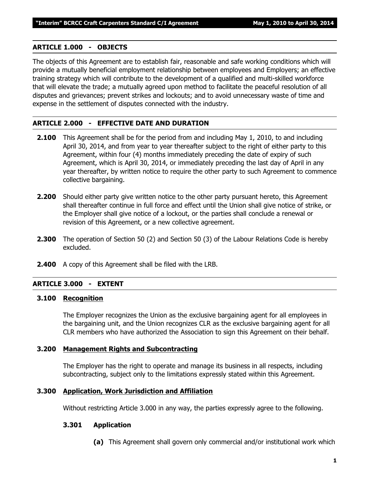#### **ARTICLE 1.000 - OBJECTS**

The objects of this Agreement are to establish fair, reasonable and safe working conditions which will provide a mutually beneficial employment relationship between employees and Employers; an effective training strategy which will contribute to the development of a qualified and multi-skilled workforce that will elevate the trade; a mutually agreed upon method to facilitate the peaceful resolution of all disputes and grievances; prevent strikes and lockouts; and to avoid unnecessary waste of time and expense in the settlement of disputes connected with the industry.

#### **ARTICLE 2.000 - EFFECTIVE DATE AND DURATION**

- **2.100** This Agreement shall be for the period from and including May 1, 2010, to and including April 30, 2014, and from year to year thereafter subject to the right of either party to this Agreement, within four (4) months immediately preceding the date of expiry of such Agreement, which is April 30, 2014, or immediately preceding the last day of April in any year thereafter, by written notice to require the other party to such Agreement to commence collective bargaining.
- **2.200** Should either party give written notice to the other party pursuant hereto, this Agreement shall thereafter continue in full force and effect until the Union shall give notice of strike, or the Employer shall give notice of a lockout, or the parties shall conclude a renewal or revision of this Agreement, or a new collective agreement.
- **2.300** The operation of Section 50 (2) and Section 50 (3) of the *Labour Relations Code* is hereby excluded.
- **2.400** A copy of this Agreement shall be filed with the LRB.

#### **ARTICLE 3.000 - EXTENT**

#### **3.100 Recognition**

The Employer recognizes the Union as the exclusive bargaining agent for all employees in the bargaining unit, and the Union recognizes CLR as the exclusive bargaining agent for all CLR members who have authorized the Association to sign this Agreement on their behalf.

#### **3.200 Management Rights and Subcontracting**

The Employer has the right to operate and manage its business in all respects, including subcontracting, subject only to the limitations expressly stated within this Agreement.

#### **3.300 Application, Work Jurisdiction and Affiliation**

Without restricting Article 3.000 in any way, the parties expressly agree to the following.

#### **3.301 Application**

**(a)** This Agreement shall govern only commercial and/or institutional work which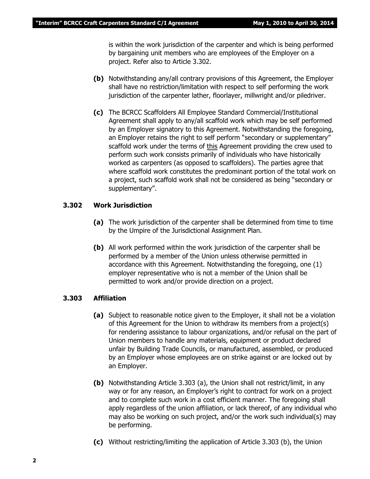is within the work jurisdiction of the carpenter and which is being performed by bargaining unit members who are employees of the Employer on a project. Refer also to Article 3.302.

- **(b)** Notwithstanding any/all contrary provisions of this Agreement, the Employer shall have no restriction/limitation with respect to self performing the work jurisdiction of the carpenter lather, floorlayer, millwright and/or piledriver.
- **(c)** The BCRCC Scaffolders All Employee Standard Commercial/Institutional Agreement shall apply to any/all scaffold work which may be self performed by an Employer signatory to this Agreement. Notwithstanding the foregoing, an Employer retains the right to self perform "secondary or supplementary" scaffold work under the terms of this Agreement providing the crew used to perform such work consists primarily of individuals who have historically worked as carpenters (as opposed to scaffolders). The parties agree that where scaffold work constitutes the predominant portion of the total work on a project, such scaffold work shall not be considered as being "secondary or supplementary".

#### **3.302 Work Jurisdiction**

- **(a)** The work jurisdiction of the carpenter shall be determined from time to time by the Umpire of the Jurisdictional Assignment Plan.
- **(b)** All work performed within the work jurisdiction of the carpenter shall be performed by a member of the Union unless otherwise permitted in accordance with this Agreement. Notwithstanding the foregoing, one (1) employer representative who is not a member of the Union shall be permitted to work and/or provide direction on a project.

#### **3.303 Affiliation**

- **(a)** Subject to reasonable notice given to the Employer, it shall not be a violation of this Agreement for the Union to withdraw its members from a project(s) for rendering assistance to labour organizations, and/or refusal on the part of Union members to handle any materials, equipment or product declared unfair by Building Trade Councils, or manufactured, assembled, or produced by an Employer whose employees are on strike against or are locked out by an Employer.
- **(b)** Notwithstanding Article 3.303 (a), the Union shall not restrict/limit, in any way or for any reason, an Employer's right to contract for work on a project and to complete such work in a cost efficient manner. The foregoing shall apply regardless of the union affiliation, or lack thereof, of any individual who may also be working on such project, and/or the work such individual(s) may be performing.
- **(c)** Without restricting/limiting the application of Article 3.303 (b), the Union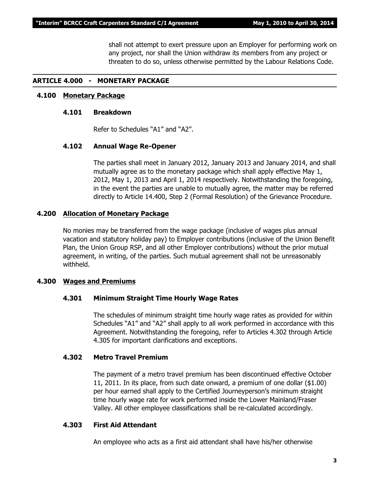shall not attempt to exert pressure upon an Employer for performing work on any project, nor shall the Union withdraw its members from any project or threaten to do so, unless otherwise permitted by the *Labour Relations Code*.

#### **ARTICLE 4.000 - MONETARY PACKAGE**

#### **4.100 Monetary Package**

#### **4.101 Breakdown**

Refer to Schedules "A1" and "A2".

#### **4.102 Annual Wage Re-Opener**

The parties shall meet in January 2012, January 2013 and January 2014, and shall mutually agree as to the monetary package which shall apply effective May 1, 2012, May 1, 2013 and April 1, 2014 respectively. Notwithstanding the foregoing, in the event the parties are unable to mutually agree, the matter may be referred directly to Article 14.400, Step 2 (Formal Resolution) of the Grievance Procedure.

#### **4.200 Allocation of Monetary Package**

No monies may be transferred from the wage package (inclusive of wages plus annual vacation and statutory holiday pay) to Employer contributions (inclusive of the Union Benefit Plan, the Union Group RSP, and all other Employer contributions) without the prior mutual agreement, in writing, of the parties. Such mutual agreement shall not be unreasonably withheld.

#### **4.300 Wages and Premiums**

#### **4.301 Minimum Straight Time Hourly Wage Rates**

The schedules of minimum straight time hourly wage rates as provided for within Schedules "A1" and "A2" shall apply to all work performed in accordance with this Agreement. Notwithstanding the foregoing, refer to Articles 4.302 through Article 4.305 for important clarifications and exceptions.

#### **4.302 Metro Travel Premium**

The payment of a metro travel premium has been discontinued effective October 11, 2011. In its place, from such date onward, a premium of one dollar (\$1.00) per hour earned shall apply to the Certified Journeyperson's minimum straight time hourly wage rate for work performed inside the Lower Mainland/Fraser Valley. All other employee classifications shall be re-calculated accordingly.

#### **4.303 First Aid Attendant**

An employee who acts as a first aid attendant shall have his/her otherwise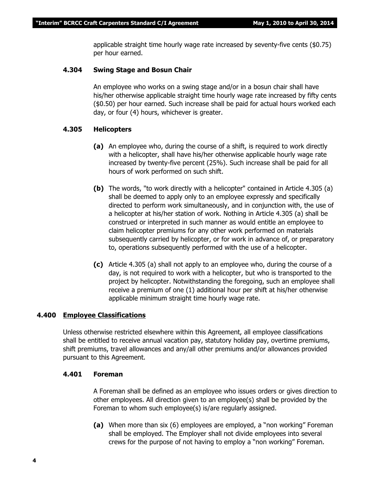applicable straight time hourly wage rate increased by seventy-five cents (\$0.75) per hour earned.

#### **4.304 Swing Stage and Bosun Chair**

An employee who works on a swing stage and/or in a bosun chair shall have his/her otherwise applicable straight time hourly wage rate increased by fifty cents (\$0.50) per hour earned. Such increase shall be paid for actual hours worked each day, or four (4) hours, whichever is greater.

#### **4.305 Helicopters**

- **(a)** An employee who, during the course of a shift, is required to work directly with a helicopter, shall have his/her otherwise applicable hourly wage rate increased by twenty-five percent (25%). Such increase shall be paid for all hours of work performed on such shift.
- **(b)** The words, "to work directly with a helicopter" contained in Article 4.305 (a) shall be deemed to apply only to an employee expressly and specifically directed to perform work simultaneously, and in conjunction with, the use of a helicopter at his/her station of work. Nothing in Article 4.305 (a) shall be construed or interpreted in such manner as would entitle an employee to claim helicopter premiums for any other work performed on materials subsequently carried by helicopter, or for work in advance of, or preparatory to, operations subsequently performed with the use of a helicopter.
- **(c)** Article 4.305 (a) shall not apply to an employee who, during the course of a day, is not required to work with a helicopter, but who is transported to the project by helicopter. Notwithstanding the foregoing, such an employee shall receive a premium of one (1) additional hour per shift at his/her otherwise applicable minimum straight time hourly wage rate.

#### **4.400 Employee Classifications**

Unless otherwise restricted elsewhere within this Agreement, all employee classifications shall be entitled to receive annual vacation pay, statutory holiday pay, overtime premiums, shift premiums, travel allowances and any/all other premiums and/or allowances provided pursuant to this Agreement.

#### **4.401 Foreman**

A Foreman shall be defined as an employee who issues orders or gives direction to other employees. All direction given to an employee(s) shall be provided by the Foreman to whom such employee(s) is/are regularly assigned.

**(a)** When more than six (6) employees are employed, a "non working" Foreman shall be employed. The Employer shall not divide employees into several crews for the purpose of not having to employ a "non working" Foreman.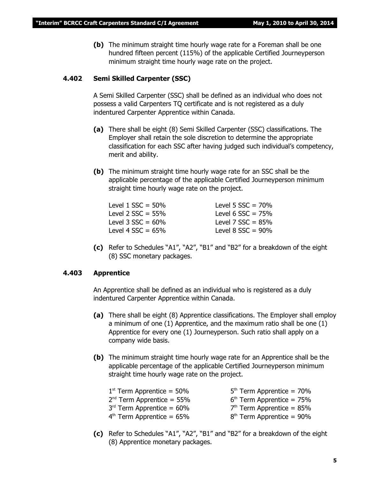**(b)** The minimum straight time hourly wage rate for a Foreman shall be one hundred fifteen percent (115%) of the applicable Certified Journeyperson minimum straight time hourly wage rate on the project.

#### **4.402 Semi Skilled Carpenter (SSC)**

A Semi Skilled Carpenter (SSC) shall be defined as an individual who does not possess a valid Carpenters TQ certificate and is not registered as a duly indentured Carpenter Apprentice within Canada.

- **(a)** There shall be eight (8) Semi Skilled Carpenter (SSC) classifications. The Employer shall retain the sole discretion to determine the appropriate classification for each SSC after having judged such individual's competency, merit and ability.
- **(b)** The minimum straight time hourly wage rate for an SSC shall be the applicable percentage of the applicable Certified Journeyperson minimum straight time hourly wage rate on the project.

| Level 5 $SSC = 70%$  |
|----------------------|
| Level 6 $SSC = 75%$  |
| Level 7 $SSC = 85%$  |
| Level 8 $SSC = 90\%$ |
|                      |

**(c)** Refer to Schedules "A1", "A2", "B1" and "B2" for a breakdown of the eight (8) SSC monetary packages.

#### **4.403 Apprentice**

An Apprentice shall be defined as an individual who is registered as a duly indentured Carpenter Apprentice within Canada.

- **(a)** There shall be eight (8) Apprentice classifications. The Employer shall employ a minimum of one (1) Apprentice, and the maximum ratio shall be one (1) Apprentice for every one (1) Journeyperson. Such ratio shall apply on a company wide basis.
- **(b)** The minimum straight time hourly wage rate for an Apprentice shall be the applicable percentage of the applicable Certified Journeyperson minimum straight time hourly wage rate on the project.

| $1st$ Term Apprentice = 50% | $5th$ Term Apprentice = 70% |
|-----------------------------|-----------------------------|
| $2nd$ Term Apprentice = 55% | $6th$ Term Apprentice = 75% |
| $3rd$ Term Apprentice = 60% | $7th$ Term Apprentice = 85% |
| $4th$ Term Apprentice = 65% | $8th$ Term Apprentice = 90% |
|                             |                             |

**(c)** Refer to Schedules "A1", "A2", "B1" and "B2" for a breakdown of the eight (8) Apprentice monetary packages.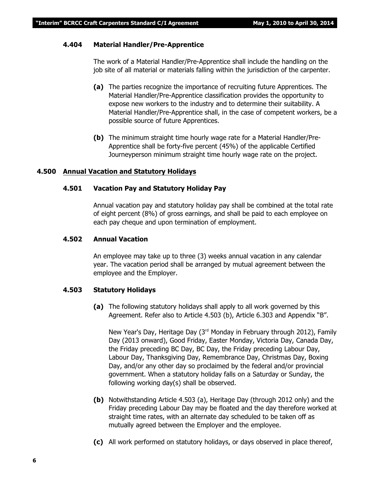#### **4.404 Material Handler/Pre-Apprentice**

The work of a Material Handler/Pre-Apprentice shall include the handling on the job site of all material or materials falling within the jurisdiction of the carpenter.

- **(a)** The parties recognize the importance of recruiting future Apprentices. The Material Handler/Pre-Apprentice classification provides the opportunity to expose new workers to the industry and to determine their suitability. A Material Handler/Pre-Apprentice shall, in the case of competent workers, be a possible source of future Apprentices.
- **(b)** The minimum straight time hourly wage rate for a Material Handler/Pre-Apprentice shall be forty-five percent (45%) of the applicable Certified Journeyperson minimum straight time hourly wage rate on the project.

#### **4.500 Annual Vacation and Statutory Holidays**

#### **4.501 Vacation Pay and Statutory Holiday Pay**

Annual vacation pay and statutory holiday pay shall be combined at the total rate of eight percent (8%) of gross earnings, and shall be paid to each employee on each pay cheque and upon termination of employment.

#### **4.502 Annual Vacation**

An employee may take up to three (3) weeks annual vacation in any calendar year. The vacation period shall be arranged by mutual agreement between the employee and the Employer.

#### **4.503 Statutory Holidays**

**(a)** The following statutory holidays shall apply to all work governed by this Agreement. Refer also to Article 4.503 (b), Article 6.303 and Appendix "B".

New Year's Day, Heritage Day  $(3<sup>rd</sup>$  Monday in February through 2012), Family Day (2013 onward), Good Friday, Easter Monday, Victoria Day, Canada Day, the Friday preceding BC Day, BC Day, the Friday preceding Labour Day, Labour Day, Thanksgiving Day, Remembrance Day, Christmas Day, Boxing Day, and/or any other day so proclaimed by the federal and/or provincial government. When a statutory holiday falls on a Saturday or Sunday, the following working day(s) shall be observed.

- **(b)** Notwithstanding Article 4.503 (a), Heritage Day (through 2012 only) and the Friday preceding Labour Day may be floated and the day therefore worked at straight time rates, with an alternate day scheduled to be taken off as mutually agreed between the Employer and the employee.
- **(c)** All work performed on statutory holidays, or days observed in place thereof,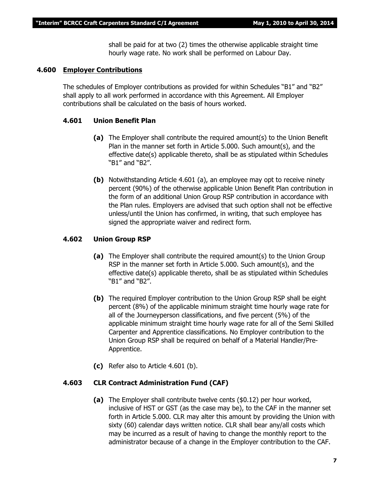shall be paid for at two (2) times the otherwise applicable straight time hourly wage rate. No work shall be performed on Labour Day.

#### **4.600 Employer Contributions**

The schedules of Employer contributions as provided for within Schedules "B1" and "B2" shall apply to all work performed in accordance with this Agreement. All Employer contributions shall be calculated on the basis of hours worked.

#### **4.601 Union Benefit Plan**

- **(a)** The Employer shall contribute the required amount(s) to the Union Benefit Plan in the manner set forth in Article 5.000. Such amount(s), and the effective date(s) applicable thereto, shall be as stipulated within Schedules "B1" and "B2".
- **(b)** Notwithstanding Article 4.601 (a), an employee may opt to receive ninety percent (90%) of the otherwise applicable Union Benefit Plan contribution in the form of an additional Union Group RSP contribution in accordance with the Plan rules. Employers are advised that such option shall not be effective unless/until the Union has confirmed, in writing, that such employee has signed the appropriate waiver and redirect form.

#### **4.602 Union Group RSP**

- **(a)** The Employer shall contribute the required amount(s) to the Union Group RSP in the manner set forth in Article 5.000. Such amount(s), and the effective date(s) applicable thereto, shall be as stipulated within Schedules "B1" and "B2".
- **(b)** The required Employer contribution to the Union Group RSP shall be eight percent (8%) of the applicable minimum straight time hourly wage rate for all of the Journeyperson classifications, and five percent (5%) of the applicable minimum straight time hourly wage rate for all of the Semi Skilled Carpenter and Apprentice classifications. No Employer contribution to the Union Group RSP shall be required on behalf of a Material Handler/Pre-Apprentice.
- **(c)** Refer also to Article 4.601 (b).

#### **4.603 CLR Contract Administration Fund (CAF)**

**(a)** The Employer shall contribute twelve cents (\$0.12) per hour worked, inclusive of HST or GST (as the case may be), to the CAF in the manner set forth in Article 5.000. CLR may alter this amount by providing the Union with sixty (60) calendar days written notice. CLR shall bear any/all costs which may be incurred as a result of having to change the monthly report to the administrator because of a change in the Employer contribution to the CAF.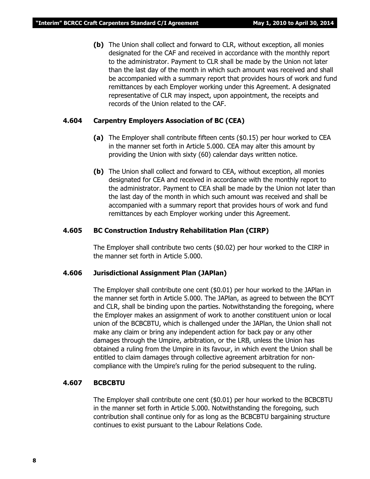**(b)** The Union shall collect and forward to CLR, without exception, all monies designated for the CAF and received in accordance with the monthly report to the administrator. Payment to CLR shall be made by the Union not later than the last day of the month in which such amount was received and shall be accompanied with a summary report that provides hours of work and fund remittances by each Employer working under this Agreement. A designated representative of CLR may inspect, upon appointment, the receipts and records of the Union related to the CAF.

#### **4.604 Carpentry Employers Association of BC (CEA)**

- **(a)** The Employer shall contribute fifteen cents (\$0.15) per hour worked to CEA in the manner set forth in Article 5.000. CEA may alter this amount by providing the Union with sixty (60) calendar days written notice.
- **(b)** The Union shall collect and forward to CEA, without exception, all monies designated for CEA and received in accordance with the monthly report to the administrator. Payment to CEA shall be made by the Union not later than the last day of the month in which such amount was received and shall be accompanied with a summary report that provides hours of work and fund remittances by each Employer working under this Agreement.

#### **4.605 BC Construction Industry Rehabilitation Plan (CIRP)**

The Employer shall contribute two cents (\$0.02) per hour worked to the CIRP in the manner set forth in Article 5.000.

#### **4.606 Jurisdictional Assignment Plan (JAPlan)**

The Employer shall contribute one cent (\$0.01) per hour worked to the JAPlan in the manner set forth in Article 5.000. The JAPlan, as agreed to between the BCYT and CLR, shall be binding upon the parties. Notwithstanding the foregoing, where the Employer makes an assignment of work to another constituent union or local union of the BCBCBTU, which is challenged under the JAPlan, the Union shall not make any claim or bring any independent action for back pay or any other damages through the Umpire, arbitration, or the LRB, unless the Union has obtained a ruling from the Umpire in its favour, in which event the Union shall be entitled to claim damages through collective agreement arbitration for noncompliance with the Umpire's ruling for the period subsequent to the ruling.

#### **4.607 BCBCBTU**

The Employer shall contribute one cent (\$0.01) per hour worked to the BCBCBTU in the manner set forth in Article 5.000. Notwithstanding the foregoing, such contribution shall continue only for as long as the BCBCBTU bargaining structure continues to exist pursuant to the *Labour Relations Code*.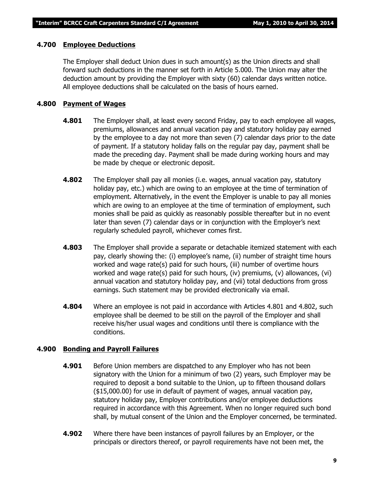#### **4.700 Employee Deductions**

The Employer shall deduct Union dues in such amount(s) as the Union directs and shall forward such deductions in the manner set forth in Article 5.000. The Union may alter the deduction amount by providing the Employer with sixty (60) calendar days written notice. All employee deductions shall be calculated on the basis of hours earned.

#### **4.800 Payment of Wages**

- **4.801** The Employer shall, at least every second Friday, pay to each employee all wages, premiums, allowances and annual vacation pay and statutory holiday pay earned by the employee to a day not more than seven (7) calendar days prior to the date of payment. If a statutory holiday falls on the regular pay day, payment shall be made the preceding day. Payment shall be made during working hours and may be made by cheque or electronic deposit.
- **4.802** The Employer shall pay all monies (i.e. wages, annual vacation pay, statutory holiday pay, etc.) which are owing to an employee at the time of termination of employment. Alternatively, in the event the Employer is unable to pay all monies which are owing to an employee at the time of termination of employment, such monies shall be paid as quickly as reasonably possible thereafter but in no event later than seven (7) calendar days or in conjunction with the Employer's next regularly scheduled payroll, whichever comes first.
- **4.803** The Employer shall provide a separate or detachable itemized statement with each pay, clearly showing the: (i) employee's name, (ii) number of straight time hours worked and wage rate(s) paid for such hours, (iii) number of overtime hours worked and wage rate(s) paid for such hours, (iv) premiums, (v) allowances, (vi) annual vacation and statutory holiday pay, and (vii) total deductions from gross earnings. Such statement may be provided electronically via email.
- **4.804** Where an employee is not paid in accordance with Articles 4.801 and 4.802, such employee shall be deemed to be still on the payroll of the Employer and shall receive his/her usual wages and conditions until there is compliance with the conditions.

#### **4.900 Bonding and Payroll Failures**

- **4.901** Before Union members are dispatched to any Employer who has not been signatory with the Union for a minimum of two (2) years, such Employer may be required to deposit a bond suitable to the Union, up to fifteen thousand dollars (\$15,000.00) for use in default of payment of wages, annual vacation pay, statutory holiday pay, Employer contributions and/or employee deductions required in accordance with this Agreement. When no longer required such bond shall, by mutual consent of the Union and the Employer concerned, be terminated.
- **4.902** Where there have been instances of payroll failures by an Employer, or the principals or directors thereof, or payroll requirements have not been met, the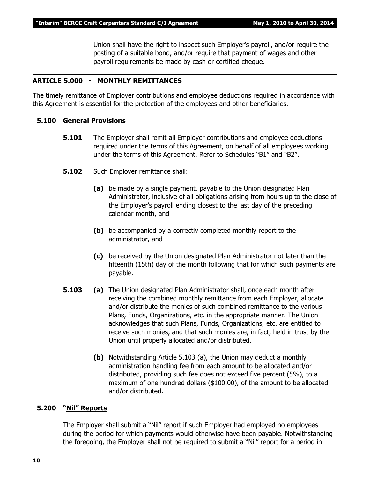Union shall have the right to inspect such Employer's payroll, and/or require the posting of a suitable bond, and/or require that payment of wages and other payroll requirements be made by cash or certified cheque.

#### **ARTICLE 5.000 - MONTHLY REMITTANCES**

The timely remittance of Employer contributions and employee deductions required in accordance with this Agreement is essential for the protection of the employees and other beneficiaries.

#### **5.100 General Provisions**

- **5.101** The Employer shall remit all Employer contributions and employee deductions required under the terms of this Agreement, on behalf of all employees working under the terms of this Agreement. Refer to Schedules "B1" and "B2".
- **5.102** Such Employer remittance shall:
	- **(a)** be made by a single payment, payable to the Union designated Plan Administrator, inclusive of all obligations arising from hours up to the close of the Employer's payroll ending closest to the last day of the preceding calendar month, and
	- **(b)** be accompanied by a correctly completed monthly report to the administrator, and
	- **(c)** be received by the Union designated Plan Administrator not later than the fifteenth (15th) day of the month following that for which such payments are payable.
- **5.103 (a)** The Union designated Plan Administrator shall, once each month after receiving the combined monthly remittance from each Employer, allocate and/or distribute the monies of such combined remittance to the various Plans, Funds, Organizations, etc. in the appropriate manner. The Union acknowledges that such Plans, Funds, Organizations, etc. are entitled to receive such monies, and that such monies are, in fact, held in trust by the Union until properly allocated and/or distributed.
	- **(b)** Notwithstanding Article 5.103 (a), the Union may deduct a monthly administration handling fee from each amount to be allocated and/or distributed, providing such fee does not exceed five percent (5%), to a maximum of one hundred dollars (\$100.00), of the amount to be allocated and/or distributed.

#### **5.200 "Nil" Reports**

The Employer shall submit a "Nil" report if such Employer had employed no employees during the period for which payments would otherwise have been payable. Notwithstanding the foregoing, the Employer shall not be required to submit a "Nil" report for a period in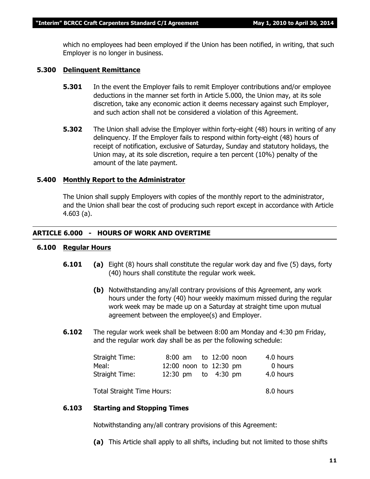which no employees had been employed if the Union has been notified, in writing, that such Employer is no longer in business.

#### **5.300 Delinquent Remittance**

- **5.301** In the event the Employer fails to remit Employer contributions and/or employee deductions in the manner set forth in Article 5.000, the Union may, at its sole discretion, take any economic action it deems necessary against such Employer, and such action shall not be considered a violation of this Agreement.
- **5.302** The Union shall advise the Employer within forty-eight (48) hours in writing of any delinquency. If the Employer fails to respond within forty-eight (48) hours of receipt of notification, exclusive of Saturday, Sunday and statutory holidays, the Union may, at its sole discretion, require a ten percent (10%) penalty of the amount of the late payment.

#### **5.400 Monthly Report to the Administrator**

The Union shall supply Employers with copies of the monthly report to the administrator, and the Union shall bear the cost of producing such report except in accordance with Article 4.603 (a).

#### **ARTICLE 6.000 - HOURS OF WORK AND OVERTIME**

#### **6.100 Regular Hours**

- **6.101 (a)** Eight (8) hours shall constitute the regular work day and five (5) days, forty (40) hours shall constitute the regular work week.
	- **(b)** Notwithstanding any/all contrary provisions of this Agreement, any work hours under the forty (40) hour weekly maximum missed during the regular work week may be made up on a Saturday at straight time upon mutual agreement between the employee(s) and Employer.
- **6.102** The regular work week shall be between 8:00 am Monday and 4:30 pm Friday, and the regular work day shall be as per the following schedule:

| Straight Time: |                        |  | 8:00 am to 12:00 noon | 4.0 hours |
|----------------|------------------------|--|-----------------------|-----------|
| Meal:          | 12:00 noon to 12:30 pm |  |                       | 0 hours   |
| Straight Time: |                        |  | 12:30 pm to 4:30 pm   | 4.0 hours |
|                |                        |  |                       |           |

Total Straight Time Hours: 8.0 hours

#### **6.103 Starting and Stopping Times**

Notwithstanding any/all contrary provisions of this Agreement:

**(a)** This Article shall apply to all shifts, including but not limited to those shifts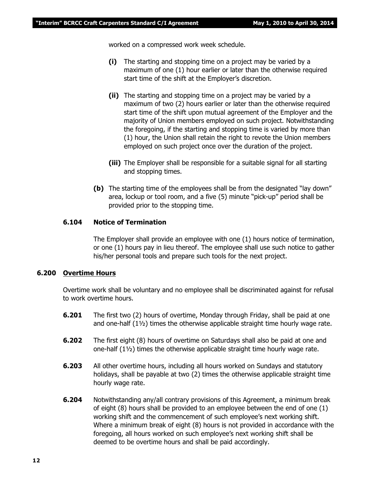worked on a compressed work week schedule.

- **(i)** The starting and stopping time on a project may be varied by a maximum of one (1) hour earlier or later than the otherwise required start time of the shift at the Employer's discretion.
- **(ii)** The starting and stopping time on a project may be varied by a maximum of two (2) hours earlier or later than the otherwise required start time of the shift upon mutual agreement of the Employer and the majority of Union members employed on such project. Notwithstanding the foregoing, if the starting and stopping time is varied by more than (1) hour, the Union shall retain the right to revote the Union members employed on such project once over the duration of the project.
- **(iii)** The Employer shall be responsible for a suitable signal for all starting and stopping times.
- **(b)** The starting time of the employees shall be from the designated "lay down" area, lockup or tool room, and a five (5) minute "pick-up" period shall be provided prior to the stopping time.

#### **6.104 Notice of Termination**

The Employer shall provide an employee with one (1) hours notice of termination, or one (1) hours pay in lieu thereof. The employee shall use such notice to gather his/her personal tools and prepare such tools for the next project.

#### **6.200 Overtime Hours**

Overtime work shall be voluntary and no employee shall be discriminated against for refusal to work overtime hours.

- **6.201** The first two (2) hours of overtime, Monday through Friday, shall be paid at one and one-half  $(1\frac{1}{2})$  times the otherwise applicable straight time hourly wage rate.
- **6.202** The first eight (8) hours of overtime on Saturdays shall also be paid at one and one-half (1½) times the otherwise applicable straight time hourly wage rate.
- **6.203** All other overtime hours, including all hours worked on Sundays and statutory holidays, shall be payable at two (2) times the otherwise applicable straight time hourly wage rate.
- **6.204** Notwithstanding any/all contrary provisions of this Agreement, a minimum break of eight (8) hours shall be provided to an employee between the end of one (1) working shift and the commencement of such employee's next working shift. Where a minimum break of eight (8) hours is not provided in accordance with the foregoing, all hours worked on such employee's next working shift shall be deemed to be overtime hours and shall be paid accordingly.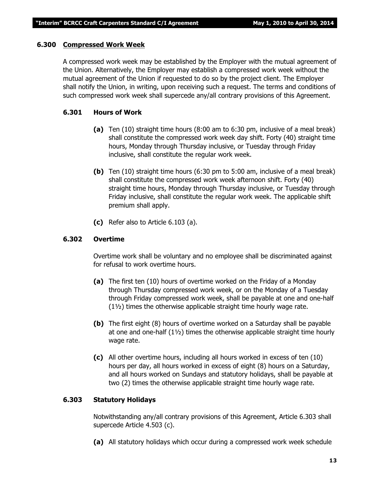#### **6.300 Compressed Work Week**

A compressed work week may be established by the Employer with the mutual agreement of the Union. Alternatively, the Employer may establish a compressed work week without the mutual agreement of the Union if requested to do so by the project client. The Employer shall notify the Union, in writing, upon receiving such a request. The terms and conditions of such compressed work week shall supercede any/all contrary provisions of this Agreement.

#### **6.301 Hours of Work**

- **(a)** Ten (10) straight time hours (8:00 am to 6:30 pm, inclusive of a meal break) shall constitute the compressed work week day shift. Forty (40) straight time hours, Monday through Thursday inclusive, or Tuesday through Friday inclusive, shall constitute the regular work week.
- **(b)** Ten (10) straight time hours (6:30 pm to 5:00 am, inclusive of a meal break) shall constitute the compressed work week afternoon shift. Forty (40) straight time hours, Monday through Thursday inclusive, or Tuesday through Friday inclusive, shall constitute the regular work week. The applicable shift premium shall apply.
- **(c)** Refer also to Article 6.103 (a).

#### **6.302 Overtime**

Overtime work shall be voluntary and no employee shall be discriminated against for refusal to work overtime hours.

- **(a)** The first ten (10) hours of overtime worked on the Friday of a Monday through Thursday compressed work week, or on the Monday of a Tuesday through Friday compressed work week, shall be payable at one and one-half (1½) times the otherwise applicable straight time hourly wage rate.
- **(b)** The first eight (8) hours of overtime worked on a Saturday shall be payable at one and one-half  $(1\frac{1}{2})$  times the otherwise applicable straight time hourly wage rate.
- **(c)** All other overtime hours, including all hours worked in excess of ten (10) hours per day, all hours worked in excess of eight (8) hours on a Saturday, and all hours worked on Sundays and statutory holidays, shall be payable at two (2) times the otherwise applicable straight time hourly wage rate.

#### **6.303 Statutory Holidays**

Notwithstanding any/all contrary provisions of this Agreement, Article 6.303 shall supercede Article 4.503 (c).

**(a)** All statutory holidays which occur during a compressed work week schedule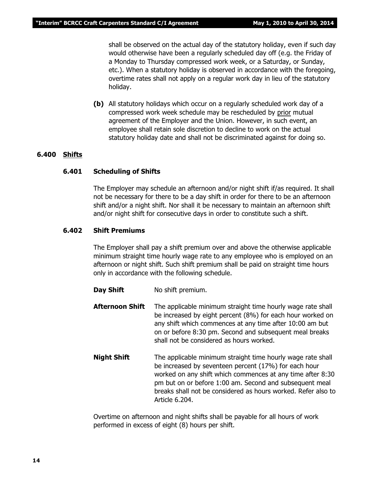shall be observed on the actual day of the statutory holiday, even if such day would otherwise have been a regularly scheduled day off (e.g. the Friday of a Monday to Thursday compressed work week, or a Saturday, or Sunday, etc.). When a statutory holiday is observed in accordance with the foregoing, overtime rates shall not apply on a regular work day in lieu of the statutory holiday.

**(b)** All statutory holidays which occur on a regularly scheduled work day of a compressed work week schedule may be rescheduled by prior mutual agreement of the Employer and the Union. However, in such event, an employee shall retain sole discretion to decline to work on the actual statutory holiday date and shall not be discriminated against for doing so.

#### **6.400 Shifts**

#### **6.401 Scheduling of Shifts**

The Employer may schedule an afternoon and/or night shift if/as required. It shall not be necessary for there to be a day shift in order for there to be an afternoon shift and/or a night shift. Nor shall it be necessary to maintain an afternoon shift and/or night shift for consecutive days in order to constitute such a shift.

#### **6.402 Shift Premiums**

The Employer shall pay a shift premium over and above the otherwise applicable minimum straight time hourly wage rate to any employee who is employed on an afternoon or night shift. Such shift premium shall be paid on straight time hours only in accordance with the following schedule.

- **Day Shift** No shift premium.
- **Afternoon Shift** The applicable minimum straight time hourly wage rate shall be increased by eight percent (8%) for each hour worked on any shift which commences at any time after 10:00 am but on or before 8:30 pm. Second and subsequent meal breaks shall not be considered as hours worked.
- **Night Shift** The applicable minimum straight time hourly wage rate shall be increased by seventeen percent (17%) for each hour worked on any shift which commences at any time after 8:30 pm but on or before 1:00 am. Second and subsequent meal breaks shall not be considered as hours worked. Refer also to Article 6.204.

Overtime on afternoon and night shifts shall be payable for all hours of work performed in excess of eight (8) hours per shift.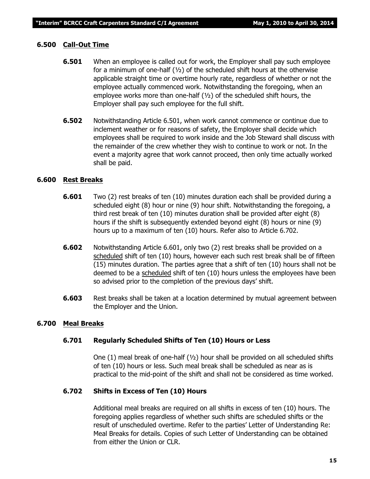#### **6.500 Call-Out Time**

- **6.501** When an employee is called out for work, the Employer shall pay such employee for a minimum of one-half  $(y_2)$  of the scheduled shift hours at the otherwise applicable straight time or overtime hourly rate, regardless of whether or not the employee actually commenced work. Notwithstanding the foregoing, when an employee works more than one-half (½) of the scheduled shift hours, the Employer shall pay such employee for the full shift.
- **6.502** Notwithstanding Article 6.501, when work cannot commence or continue due to inclement weather or for reasons of safety, the Employer shall decide which employees shall be required to work inside and the Job Steward shall discuss with the remainder of the crew whether they wish to continue to work or not. In the event a majority agree that work cannot proceed, then only time actually worked shall be paid.

#### **6.600 Rest Breaks**

- **6.601** Two (2) rest breaks of ten (10) minutes duration each shall be provided during a scheduled eight (8) hour or nine (9) hour shift. Notwithstanding the foregoing, a third rest break of ten (10) minutes duration shall be provided after eight (8) hours if the shift is subsequently extended beyond eight (8) hours or nine (9) hours up to a maximum of ten (10) hours. Refer also to Article 6.702.
- **6.602** Notwithstanding Article 6.601, only two (2) rest breaks shall be provided on a scheduled shift of ten (10) hours, however each such rest break shall be of fifteen (15) minutes duration. The parties agree that a shift of ten (10) hours shall not be deemed to be a scheduled shift of ten (10) hours unless the employees have been so advised prior to the completion of the previous days' shift.
- **6.603** Rest breaks shall be taken at a location determined by mutual agreement between the Employer and the Union.

#### **6.700 Meal Breaks**

#### **6.701 Regularly Scheduled Shifts of Ten (10) Hours or Less**

One (1) meal break of one-half (½) hour shall be provided on all scheduled shifts of ten (10) hours or less. Such meal break shall be scheduled as near as is practical to the mid-point of the shift and shall not be considered as time worked.

#### **6.702 Shifts in Excess of Ten (10) Hours**

Additional meal breaks are required on all shifts in excess of ten (10) hours. The foregoing applies regardless of whether such shifts are scheduled shifts or the result of unscheduled overtime. Refer to the parties' Letter of Understanding Re: Meal Breaks for details. Copies of such Letter of Understanding can be obtained from either the Union or CLR.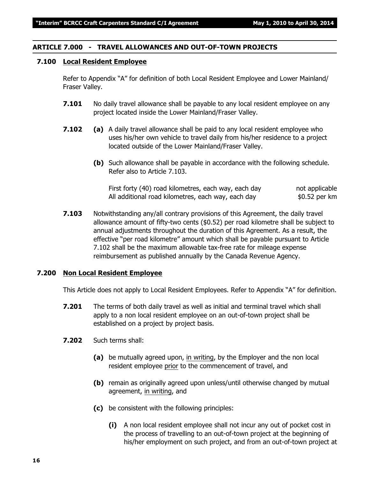#### **ARTICLE 7.000 - TRAVEL ALLOWANCES AND OUT-OF-TOWN PROJECTS**

#### **7.100 Local Resident Employee**

Refer to Appendix "A" for definition of both Local Resident Employee and Lower Mainland/ Fraser Valley.

- **7.101** No daily travel allowance shall be payable to any local resident employee on any project located inside the Lower Mainland/Fraser Valley.
- **7.102 (a)** A daily travel allowance shall be paid to any local resident employee who uses his/her own vehicle to travel daily from his/her residence to a project located outside of the Lower Mainland/Fraser Valley.
	- **(b)** Such allowance shall be payable in accordance with the following schedule. Refer also to Article 7.103.

First forty (40) road kilometres, each way, each day hot applicable All additional road kilometres, each way, each day  $$0.52$  per km

**7.103** Notwithstanding any/all contrary provisions of this Agreement, the daily travel allowance amount of fifty-two cents (\$0.52) per road kilometre shall be subject to annual adjustments throughout the duration of this Agreement. As a result, the effective "per road kilometre" amount which shall be payable pursuant to Article 7.102 shall be the maximum allowable tax-free rate for mileage expense reimbursement as published annually by the Canada Revenue Agency.

#### **7.200 Non Local Resident Employee**

This Article does not apply to Local Resident Employees. Refer to Appendix "A" for definition.

- **7.201** The terms of both daily travel as well as initial and terminal travel which shall apply to a non local resident employee on an out-of-town project shall be established on a project by project basis.
- **7.202** Such terms shall:
	- **(a)** be mutually agreed upon, in writing, by the Employer and the non local resident employee prior to the commencement of travel, and
	- **(b)** remain as originally agreed upon unless/until otherwise changed by mutual agreement, in writing, and
	- **(c)** be consistent with the following principles:
		- **(i)** A non local resident employee shall not incur any out of pocket cost in the process of travelling to an out-of-town project at the beginning of his/her employment on such project, and from an out-of-town project at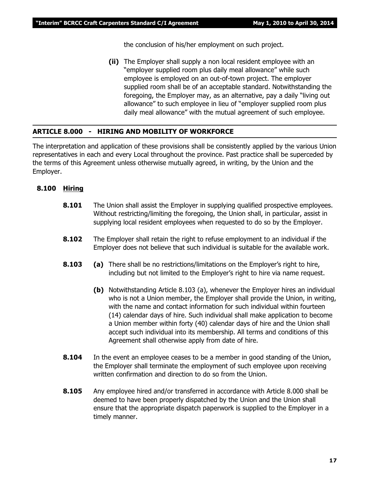the conclusion of his/her employment on such project.

**(ii)** The Employer shall supply a non local resident employee with an "employer supplied room plus daily meal allowance" while such employee is employed on an out-of-town project. The employer supplied room shall be of an acceptable standard. Notwithstanding the foregoing, the Employer may, as an alternative, pay a daily "living out allowance" to such employee in lieu of "employer supplied room plus daily meal allowance" with the mutual agreement of such employee.

#### **ARTICLE 8.000 - HIRING AND MOBILITY OF WORKFORCE**

The interpretation and application of these provisions shall be consistently applied by the various Union representatives in each and every Local throughout the province. Past practice shall be superceded by the terms of this Agreement unless otherwise mutually agreed, in writing, by the Union and the Employer.

#### **8.100 Hiring**

- **8.101** The Union shall assist the Employer in supplying qualified prospective employees. Without restricting/limiting the foregoing, the Union shall, in particular, assist in supplying local resident employees when requested to do so by the Employer.
- **8.102** The Employer shall retain the right to refuse employment to an individual if the Employer does not believe that such individual is suitable for the available work.
- **8.103 (a)** There shall be no restrictions/limitations on the Employer's right to hire, including but not limited to the Employer's right to hire via name request.
	- **(b)** Notwithstanding Article 8.103 (a), whenever the Employer hires an individual who is not a Union member, the Employer shall provide the Union, in writing, with the name and contact information for such individual within fourteen (14) calendar days of hire. Such individual shall make application to become a Union member within forty (40) calendar days of hire and the Union shall accept such individual into its membership. All terms and conditions of this Agreement shall otherwise apply from date of hire.
- **8.104** In the event an employee ceases to be a member in good standing of the Union, the Employer shall terminate the employment of such employee upon receiving written confirmation and direction to do so from the Union.
- **8.105** Any employee hired and/or transferred in accordance with Article 8.000 shall be deemed to have been properly dispatched by the Union and the Union shall ensure that the appropriate dispatch paperwork is supplied to the Employer in a timely manner.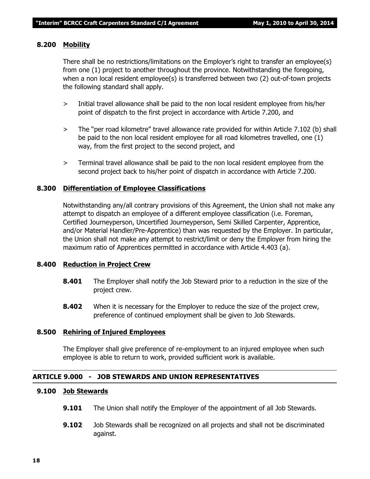#### **8.200 Mobility**

There shall be no restrictions/limitations on the Employer's right to transfer an employee(s) from one (1) project to another throughout the province. Notwithstanding the foregoing, when a non local resident employee(s) is transferred between two (2) out-of-town projects the following standard shall apply.

- > Initial travel allowance shall be paid to the non local resident employee from his/her point of dispatch to the first project in accordance with Article 7.200, and
- > The "per road kilometre" travel allowance rate provided for within Article 7.102 (b) shall be paid to the non local resident employee for all road kilometres travelled, one (1) way, from the first project to the second project, and
- > Terminal travel allowance shall be paid to the non local resident employee from the second project back to his/her point of dispatch in accordance with Article 7.200.

#### **8.300 Differentiation of Employee Classifications**

Notwithstanding any/all contrary provisions of this Agreement, the Union shall not make any attempt to dispatch an employee of a different employee classification (i.e. Foreman, Certified Journeyperson, Uncertified Journeyperson, Semi Skilled Carpenter, Apprentice, and/or Material Handler/Pre-Apprentice) than was requested by the Employer. In particular, the Union shall not make any attempt to restrict/limit or deny the Employer from hiring the maximum ratio of Apprentices permitted in accordance with Article 4.403 (a).

#### **8.400 Reduction in Project Crew**

- **8.401** The Employer shall notify the Job Steward prior to a reduction in the size of the project crew.
- **8.402** When it is necessary for the Employer to reduce the size of the project crew, preference of continued employment shall be given to Job Stewards.

#### **8.500 Rehiring of Injured Employees**

The Employer shall give preference of re-employment to an injured employee when such employee is able to return to work, provided sufficient work is available.

#### **ARTICLE 9.000 - JOB STEWARDS AND UNION REPRESENTATIVES**

#### **9.100 Job Stewards**

- **9.101** The Union shall notify the Employer of the appointment of all Job Stewards.
- **9.102** Job Stewards shall be recognized on all projects and shall not be discriminated against.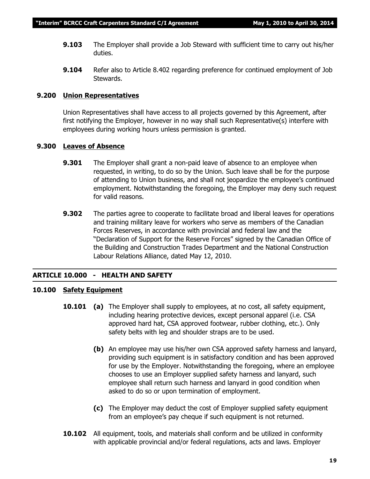- **9.103** The Employer shall provide a Job Steward with sufficient time to carry out his/her duties.
- **9.104** Refer also to Article 8.402 regarding preference for continued employment of Job Stewards.

#### **9.200 Union Representatives**

Union Representatives shall have access to all projects governed by this Agreement, after first notifying the Employer, however in no way shall such Representative(s) interfere with employees during working hours unless permission is granted.

#### **9.300 Leaves of Absence**

- **9.301** The Employer shall grant a non-paid leave of absence to an employee when requested, in writing, to do so by the Union. Such leave shall be for the purpose of attending to Union business, and shall not jeopardize the employee's continued employment. Notwithstanding the foregoing, the Employer may deny such request for valid reasons.
- **9.302** The parties agree to cooperate to facilitate broad and liberal leaves for operations and training military leave for workers who serve as members of the Canadian Forces Reserves, in accordance with provincial and federal law and the "Declaration of Support for the Reserve Forces" signed by the Canadian Office of the Building and Construction Trades Department and the National Construction Labour Relations Alliance, dated May 12, 2010.

#### **ARTICLE 10.000 - HEALTH AND SAFETY**

#### **10.100 Safety Equipment**

- **10.101 (a)** The Employer shall supply to employees, at no cost, all safety equipment, including hearing protective devices, except personal apparel (i.e. CSA approved hard hat, CSA approved footwear, rubber clothing, etc.). Only safety belts with leg and shoulder straps are to be used.
	- **(b)** An employee may use his/her own CSA approved safety harness and lanyard, providing such equipment is in satisfactory condition and has been approved for use by the Employer. Notwithstanding the foregoing, where an employee chooses to use an Employer supplied safety harness and lanyard, such employee shall return such harness and lanyard in good condition when asked to do so or upon termination of employment.
	- **(c)** The Employer may deduct the cost of Employer supplied safety equipment from an employee's pay cheque if such equipment is not returned.
- **10.102** All equipment, tools, and materials shall conform and be utilized in conformity with applicable provincial and/or federal regulations, acts and laws. Employer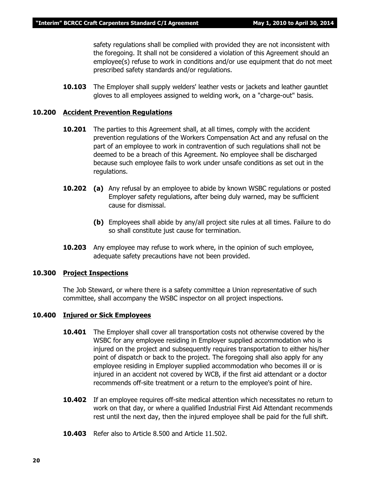safety regulations shall be complied with provided they are not inconsistent with the foregoing. It shall not be considered a violation of this Agreement should an employee(s) refuse to work in conditions and/or use equipment that do not meet prescribed safety standards and/or regulations.

**10.103** The Employer shall supply welders' leather vests or jackets and leather gauntlet gloves to all employees assigned to welding work, on a "charge-out" basis.

#### **10.200 Accident Prevention Regulations**

- **10.201** The parties to this Agreement shall, at all times, comply with the accident prevention regulations of the *Workers Compensation Act* and any refusal on the part of an employee to work in contravention of such regulations shall not be deemed to be a breach of this Agreement. No employee shall be discharged because such employee fails to work under unsafe conditions as set out in the regulations.
- **10.202 (a)** Any refusal by an employee to abide by known WSBC regulations or posted Employer safety regulations, after being duly warned, may be sufficient cause for dismissal.
	- **(b)** Employees shall abide by any/all project site rules at all times. Failure to do so shall constitute just cause for termination.
- **10.203** Any employee may refuse to work where, in the opinion of such employee, adequate safety precautions have not been provided.

#### **10.300 Project Inspections**

The Job Steward, or where there is a safety committee a Union representative of such committee, shall accompany the WSBC inspector on all project inspections.

#### **10.400 Injured or Sick Employees**

- **10.401** The Employer shall cover all transportation costs not otherwise covered by the WSBC for any employee residing in Employer supplied accommodation who is injured on the project and subsequently requires transportation to either his/her point of dispatch or back to the project. The foregoing shall also apply for any employee residing in Employer supplied accommodation who becomes ill or is injured in an accident not covered by WCB, if the first aid attendant or a doctor recommends off-site treatment or a return to the employee's point of hire.
- **10.402** If an employee requires off-site medical attention which necessitates no return to work on that day, or where a qualified Industrial First Aid Attendant recommends rest until the next day, then the injured employee shall be paid for the full shift.
- **10.403** Refer also to Article 8.500 and Article 11.502.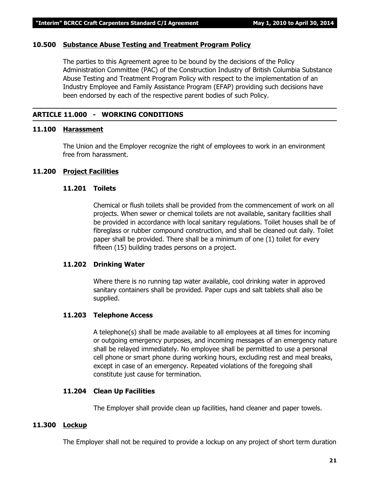#### **10.500 Substance Abuse Testing and Treatment Program Policy**

The parties to this Agreement agree to be bound by the decisions of the Policy Administration Committee (PAC) of the Construction Industry of British Columbia Substance Abuse Testing and Treatment Program Policy with respect to the implementation of an Industry Employee and Family Assistance Program (EFAP) providing such decisions have been endorsed by each of the respective parent bodies of such Policy.

#### **ARTICLE 11.000 - WORKING CONDITIONS**

#### **11.100 Harassment**

The Union and the Employer recognize the right of employees to work in an environment free from harassment.

#### **11.200 Project Facilities**

#### **11.201 Toilets**

Chemical or flush toilets shall be provided from the commencement of work on all projects. When sewer or chemical toilets are not available, sanitary facilities shall be provided in accordance with local sanitary regulations. Toilet houses shall be of fibreglass or rubber compound construction, and shall be cleaned out daily. Toilet paper shall be provided. There shall be a minimum of one (1) toilet for every fifteen (15) building trades persons on a project.

#### **11.202 Drinking Water**

Where there is no running tap water available, cool drinking water in approved sanitary containers shall be provided. Paper cups and salt tablets shall also be supplied.

#### **11.203 Telephone Access**

A telephone(s) shall be made available to all employees at all times for incoming or outgoing emergency purposes, and incoming messages of an emergency nature shall be relayed immediately. No employee shall be permitted to use a personal cell phone or smart phone during working hours, excluding rest and meal breaks, except in case of an emergency. Repeated violations of the foregoing shall constitute just cause for termination.

#### **11.204 Clean Up Facilities**

The Employer shall provide clean up facilities, hand cleaner and paper towels.

#### **11.300 Lockup**

The Employer shall not be required to provide a lockup on any project of short term duration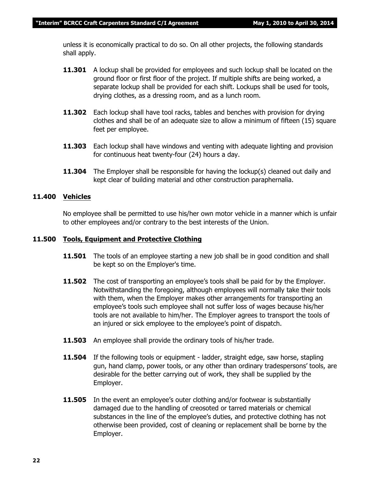unless it is economically practical to do so. On all other projects, the following standards shall apply.

- **11.301** A lockup shall be provided for employees and such lockup shall be located on the ground floor or first floor of the project. If multiple shifts are being worked, a separate lockup shall be provided for each shift. Lockups shall be used for tools, drying clothes, as a dressing room, and as a lunch room.
- **11.302** Each lockup shall have tool racks, tables and benches with provision for drying clothes and shall be of an adequate size to allow a minimum of fifteen (15) square feet per employee.
- **11.303** Each lockup shall have windows and venting with adequate lighting and provision for continuous heat twenty-four (24) hours a day.
- **11.304** The Employer shall be responsible for having the lockup(s) cleaned out daily and kept clear of building material and other construction paraphernalia.

#### **11.400 Vehicles**

No employee shall be permitted to use his/her own motor vehicle in a manner which is unfair to other employees and/or contrary to the best interests of the Union.

#### **11.500 Tools, Equipment and Protective Clothing**

- **11.501** The tools of an employee starting a new job shall be in good condition and shall be kept so on the Employer's time.
- **11.502** The cost of transporting an employee's tools shall be paid for by the Employer. Notwithstanding the foregoing, although employees will normally take their tools with them, when the Employer makes other arrangements for transporting an employee's tools such employee shall not suffer loss of wages because his/her tools are not available to him/her. The Employer agrees to transport the tools of an injured or sick employee to the employee's point of dispatch.
- **11.503** An employee shall provide the ordinary tools of his/her trade.
- **11.504** If the following tools or equipment ladder, straight edge, saw horse, stapling gun, hand clamp, power tools, or any other than ordinary tradespersons' tools, are desirable for the better carrying out of work, they shall be supplied by the Employer.
- **11.505** In the event an employee's outer clothing and/or footwear is substantially damaged due to the handling of creosoted or tarred materials or chemical substances in the line of the employee's duties, and protective clothing has not otherwise been provided, cost of cleaning or replacement shall be borne by the Employer.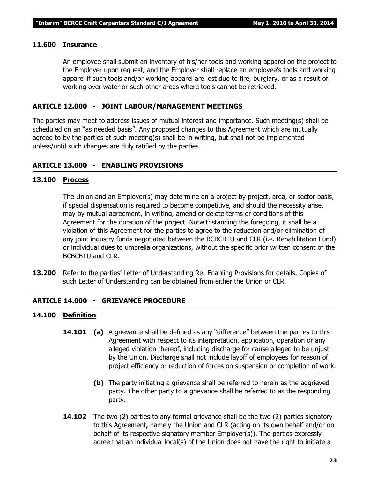#### **11.600 Insurance**

An employee shall submit an inventory of his/her tools and working apparel on the project to the Employer upon request, and the Employer shall replace an employee's tools and working apparel if such tools and/or working apparel are lost due to fire, burglary, or as a result of working over water or such other areas where tools cannot be retrieved.

#### **ARTICLE 12.000 - JOINT LABOUR/MANAGEMENT MEETINGS**

The parties may meet to address issues of mutual interest and importance. Such meeting(s) shall be scheduled on an "as needed basis". Any proposed changes to this Agreement which are mutually agreed to by the parties at such meeting(s) shall be in writing, but shall not be implemented unless/until such changes are duly ratified by the parties.

#### **ARTICLE 13.000 - ENABLING PROVISIONS**

#### **13.100 Process**

The Union and an Employer(s) may determine on a project by project, area, or sector basis, if special dispensation is required to become competitive, and should the necessity arise, may by mutual agreement, in writing, amend or delete terms or conditions of this Agreement for the duration of the project. Notwithstanding the foregoing, it shall be a violation of this Agreement for the parties to agree to the reduction and/or elimination of any joint industry funds negotiated between the BCBCBTU and CLR (i.e. Rehabilitation Fund) or individual dues to umbrella organizations, without the specific prior written consent of the BCBCBTU and CLR.

**13.200** Refer to the parties' Letter of Understanding Re: Enabling Provisions for details. Copies of such Letter of Understanding can be obtained from either the Union or CLR.

#### **ARTICLE 14.000 - GRIEVANCE PROCEDURE**

#### **14.100 Definition**

- **14.101 (a)** A grievance shall be defined as any "difference" between the parties to this Agreement with respect to its interpretation, application, operation or any alleged violation thereof, including discharge for cause alleged to be unjust by the Union. Discharge shall not include layoff of employees for reason of project efficiency or reduction of forces on suspension or completion of work.
	- **(b)** The party initiating a grievance shall be referred to herein as the aggrieved party. The other party to a grievance shall be referred to as the responding party.
- **14.102** The two (2) parties to any formal grievance shall be the two (2) parties signatory to this Agreement, namely the Union and CLR (acting on its own behalf and/or on behalf of its respective signatory member Employer(s)). The parties expressly agree that an individual local(s) of the Union does not have the right to initiate a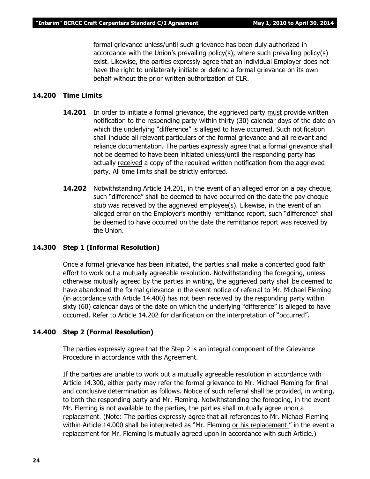formal grievance unless/until such grievance has been duly authorized in accordance with the Union's prevailing policy(s), where such prevailing policy(s) exist. Likewise, the parties expressly agree that an individual Employer does not have the right to unilaterally initiate or defend a formal grievance on its own behalf without the prior written authorization of CLR.

#### **14.200 Time Limits**

- **14.201** In order to initiate a formal grievance, the aggrieved party must provide written notification to the responding party within thirty (30) calendar days of the date on which the underlying "difference" is alleged to have occurred. Such notification shall include all relevant particulars of the formal grievance and all relevant and reliance documentation. The parties expressly agree that a formal grievance shall not be deemed to have been initiated unless/until the responding party has actually received a copy of the required written notification from the aggrieved party. All time limits shall be strictly enforced.
- **14.202** Notwithstanding Article 14.201, in the event of an alleged error on a pay cheque, such "difference" shall be deemed to have occurred on the date the pay cheque stub was received by the aggrieved employee(s). Likewise, in the event of an alleged error on the Employer's monthly remittance report, such "difference" shall be deemed to have occurred on the date the remittance report was received by the Union.

#### **14.300 Step 1 (Informal Resolution)**

Once a formal grievance has been initiated, the parties shall make a concerted good faith effort to work out a mutually agreeable resolution. Notwithstanding the foregoing, unless otherwise mutually agreed by the parties in writing, the aggrieved party shall be deemed to have abandoned the formal grievance in the event notice of referral to Mr. Michael Fleming (in accordance with Article 14.400) has not been received by the responding party within sixty (60) calendar days of the date on which the underlying "difference" is alleged to have occurred. Refer to Article 14.202 for clarification on the interpretation of "occurred".

#### **14.400 Step 2 (Formal Resolution)**

The parties expressly agree that the Step 2 is an integral component of the Grievance Procedure in accordance with this Agreement.

If the parties are unable to work out a mutually agreeable resolution in accordance with Article 14.300, either party may refer the formal grievance to Mr. Michael Fleming for final and conclusive determination as follows. Notice of such referral shall be provided, in writing, to both the responding party and Mr. Fleming. Notwithstanding the foregoing, in the event Mr. Fleming is not available to the parties, the parties shall mutually agree upon a replacement. (Note: The parties expressly agree that all references to Mr. Michael Fleming within Article 14.000 shall be interpreted as *"Mr. Fleming or his replacement "* in the event a replacement for Mr. Fleming is mutually agreed upon in accordance with such Article.)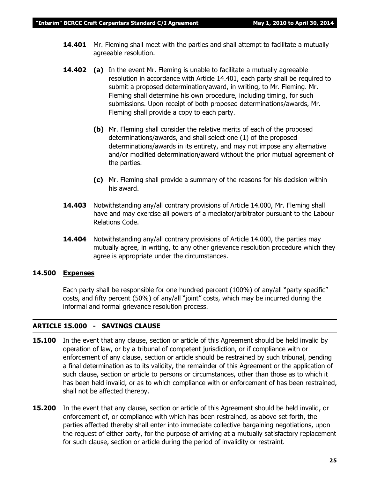- **14.401** Mr. Fleming shall meet with the parties and shall attempt to facilitate a mutually agreeable resolution.
- **14.402 (a)** In the event Mr. Fleming is unable to facilitate a mutually agreeable resolution in accordance with Article 14.401, each party shall be required to submit a proposed determination/award, in writing, to Mr. Fleming. Mr. Fleming shall determine his own procedure, including timing, for such submissions. Upon receipt of both proposed determinations/awards, Mr. Fleming shall provide a copy to each party.
	- **(b)** Mr. Fleming shall consider the relative merits of each of the proposed determinations/awards, and shall select one (1) of the proposed determinations/awards in its entirety, and may not impose any alternative and/or modified determination/award without the prior mutual agreement of the parties.
	- **(c)** Mr. Fleming shall provide a summary of the reasons for his decision within his award.
- **14.403** Notwithstanding any/all contrary provisions of Article 14.000, Mr. Fleming shall have and may exercise all powers of a mediator/arbitrator pursuant to the *Labour Relations Code.*
- **14.404** Notwithstanding any/all contrary provisions of Article 14.000, the parties may mutually agree, in writing, to any other grievance resolution procedure which they agree is appropriate under the circumstances.

#### **14.500 Expenses**

Each party shall be responsible for one hundred percent (100%) of any/all "party specific" costs, and fifty percent (50%) of any/all "joint" costs, which may be incurred during the informal and formal grievance resolution process.

#### **ARTICLE 15.000 - SAVINGS CLAUSE**

- **15.100** In the event that any clause, section or article of this Agreement should be held invalid by operation of law, or by a tribunal of competent jurisdiction, or if compliance with or enforcement of any clause, section or article should be restrained by such tribunal, pending a final determination as to its validity, the remainder of this Agreement or the application of such clause, section or article to persons or circumstances, other than those as to which it has been held invalid, or as to which compliance with or enforcement of has been restrained, shall not be affected thereby.
- **15.200** In the event that any clause, section or article of this Agreement should be held invalid, or enforcement of, or compliance with which has been restrained, as above set forth, the parties affected thereby shall enter into immediate collective bargaining negotiations, upon the request of either party, for the purpose of arriving at a mutually satisfactory replacement for such clause, section or article during the period of invalidity or restraint.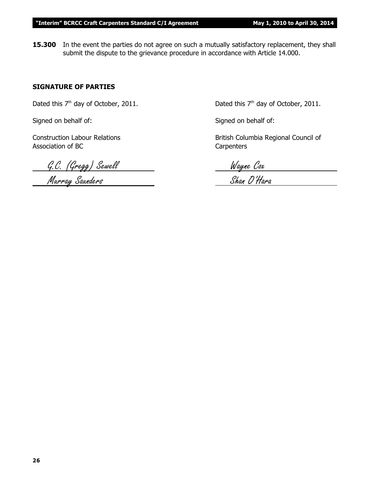**15.300** In the event the parties do not agree on such a mutually satisfactory replacement, they shall submit the dispute to the grievance procedure in accordance with Article 14.000.

#### **SIGNATURE OF PARTIES**

Dated this  $7<sup>th</sup>$  day of October, 2011. Dated this  $7<sup>th</sup>$  day of October, 2011.

Signed on behalf of: Signed on behalf of:

Association of BC Carpenters

G.C. (Gregg) Sewell Wayne Cox

Construction Labour Relations **British Columbia Regional Council of** British Columbia Regional Council of

Murray Saunders Shan O'Hara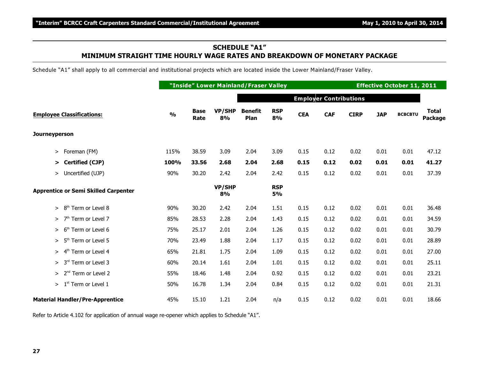#### **SCHEDULE "A1" MINIMUM STRAIGHT TIME HOURLY WAGE RATES AND BREAKDOWN OF MONETARY PACKAGE**

Schedule "A1" shall apply to all commercial and institutional projects which are located inside the Lower Mainland/Fraser Valley.

|                                              |               |                     | "Inside" Lower Mainland/Fraser Valley |                        |                  | <b>Effective October 11, 2011</b> |                               |             |            |                |                         |
|----------------------------------------------|---------------|---------------------|---------------------------------------|------------------------|------------------|-----------------------------------|-------------------------------|-------------|------------|----------------|-------------------------|
|                                              |               |                     |                                       |                        |                  |                                   | <b>Employer Contributions</b> |             |            |                |                         |
| <b>Employee Classifications:</b>             | $\frac{1}{2}$ | <b>Base</b><br>Rate | <b>VP/SHP</b><br>8%                   | <b>Benefit</b><br>Plan | <b>RSP</b><br>8% | <b>CEA</b>                        | <b>CAF</b>                    | <b>CIRP</b> | <b>JAP</b> | <b>BCBCBTU</b> | <b>Total</b><br>Package |
| <b>Journeyperson</b>                         |               |                     |                                       |                        |                  |                                   |                               |             |            |                |                         |
| Foreman (FM)<br>>                            | 115%          | 38.59               | 3.09                                  | 2.04                   | 3.09             | 0.15                              | 0.12                          | 0.02        | 0.01       | 0.01           | 47.12                   |
| Certified (CJP)<br>⋗                         | 100%          | 33.56               | 2.68                                  | 2.04                   | 2.68             | 0.15                              | 0.12                          | 0.02        | 0.01       | 0.01           | 41.27                   |
| > Uncertified (UJP)                          | 90%           | 30.20               | 2.42                                  | 2.04                   | 2.42             | 0.15                              | 0.12                          | 0.02        | 0.01       | 0.01           | 37.39                   |
| <b>Apprentice or Semi Skilled Carpenter</b>  |               |                     | VP/SHP<br>8%                          |                        | <b>RSP</b><br>5% |                                   |                               |             |            |                |                         |
| 8 <sup>th</sup><br>Term or Level 8<br>$\geq$ | 90%           | 30.20               | 2.42                                  | 2.04                   | 1.51             | 0.15                              | 0.12                          | 0.02        | 0.01       | 0.01           | 36.48                   |
| 7 <sup>th</sup> Term or Level 7<br>>         | 85%           | 28.53               | 2.28                                  | 2.04                   | 1.43             | 0.15                              | 0.12                          | 0.02        | 0.01       | 0.01           | 34.59                   |
| 6 <sup>th</sup> Term or Level 6<br>$\geq$    | 75%           | 25.17               | 2.01                                  | 2.04                   | 1.26             | 0.15                              | 0.12                          | 0.02        | 0.01       | 0.01           | 30.79                   |
| 5 <sup>th</sup> Term or Level 5<br>≻         | 70%           | 23.49               | 1.88                                  | 2.04                   | 1.17             | 0.15                              | 0.12                          | 0.02        | 0.01       | 0.01           | 28.89                   |
| 4 <sup>th</sup> Term or Level 4<br>≻         | 65%           | 21.81               | 1.75                                  | 2.04                   | 1.09             | 0.15                              | 0.12                          | 0.02        | 0.01       | 0.01           | 27.00                   |
| 3 <sup>rd</sup> Term or Level 3<br>$\geq$    | 60%           | 20.14               | 1.61                                  | 2.04                   | 1.01             | 0.15                              | 0.12                          | 0.02        | 0.01       | 0.01           | 25.11                   |
| 2 <sup>nd</sup> Term or Level 2<br>$\geq$    | 55%           | 18.46               | 1.48                                  | 2.04                   | 0.92             | 0.15                              | 0.12                          | 0.02        | 0.01       | 0.01           | 23.21                   |
| $> 1st$ Term or Level 1                      | 50%           | 16.78               | 1.34                                  | 2.04                   | 0.84             | 0.15                              | 0.12                          | 0.02        | 0.01       | 0.01           | 21.31                   |
| <b>Material Handler/Pre-Apprentice</b>       | 45%           | 15.10               | 1.21                                  | 2.04                   | n/a              | 0.15                              | 0.12                          | 0.02        | 0.01       | 0.01           | 18.66                   |

Refer to Article 4.102 for application of annual wage re-opener which applies to Schedule "A1".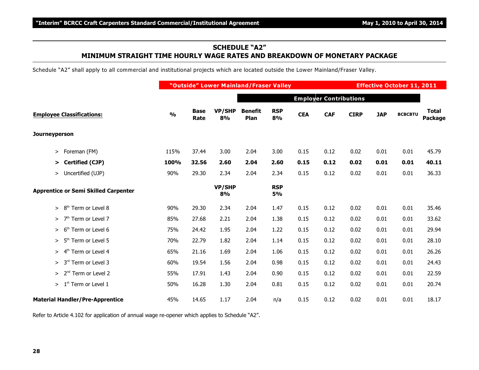#### **SCHEDULE "A2" MINIMUM STRAIGHT TIME HOURLY WAGE RATES AND BREAKDOWN OF MONETARY PACKAGE**

Schedule "A2" shall apply to all commercial and institutional projects which are located outside the Lower Mainland/Fraser Valley.

|                                              |               | "Outside" Lower Mainland/Fraser Valley |                     |                        |                  |            |                               |             |            | <b>Effective October 11, 2011</b> |                         |  |  |
|----------------------------------------------|---------------|----------------------------------------|---------------------|------------------------|------------------|------------|-------------------------------|-------------|------------|-----------------------------------|-------------------------|--|--|
|                                              |               |                                        |                     |                        |                  |            | <b>Employer Contributions</b> |             |            |                                   |                         |  |  |
| <b>Employee Classifications:</b>             | $\frac{1}{2}$ | <b>Base</b><br>Rate                    | <b>VP/SHP</b><br>8% | <b>Benefit</b><br>Plan | <b>RSP</b><br>8% | <b>CEA</b> | <b>CAF</b>                    | <b>CIRP</b> | <b>JAP</b> | <b>BCBCBTU</b>                    | <b>Total</b><br>Package |  |  |
| <b>Journeyperson</b>                         |               |                                        |                     |                        |                  |            |                               |             |            |                                   |                         |  |  |
| Foreman (FM)<br>≻                            | 115%          | 37.44                                  | 3.00                | 2.04                   | 3.00             | 0.15       | 0.12                          | 0.02        | 0.01       | 0.01                              | 45.79                   |  |  |
| <b>Certified (CJP)</b><br>⋗                  | 100%          | 32.56                                  | 2.60                | 2.04                   | 2.60             | 0.15       | 0.12                          | 0.02        | 0.01       | 0.01                              | 40.11                   |  |  |
| > Uncertified (UJP)                          | 90%           | 29.30                                  | 2.34                | 2.04                   | 2.34             | 0.15       | 0.12                          | 0.02        | 0.01       | 0.01                              | 36.33                   |  |  |
| <b>Apprentice or Semi Skilled Carpenter</b>  |               |                                        | VP/SHP<br>8%        |                        | <b>RSP</b><br>5% |            |                               |             |            |                                   |                         |  |  |
| Term or Level 8<br>8 <sup>th</sup><br>$\geq$ | 90%           | 29.30                                  | 2.34                | 2.04                   | 1.47             | 0.15       | 0.12                          | 0.02        | 0.01       | 0.01                              | 35.46                   |  |  |
| 7 <sup>th</sup> Term or Level 7<br>$\geq$    | 85%           | 27.68                                  | 2.21                | 2.04                   | 1.38             | 0.15       | 0.12                          | 0.02        | 0.01       | 0.01                              | 33.62                   |  |  |
| 6 <sup>th</sup> Term or Level 6<br>>         | 75%           | 24.42                                  | 1.95                | 2.04                   | 1.22             | 0.15       | 0.12                          | 0.02        | 0.01       | 0.01                              | 29.94                   |  |  |
| 5 <sup>th</sup> Term or Level 5<br>>         | 70%           | 22.79                                  | 1.82                | 2.04                   | 1.14             | 0.15       | 0.12                          | 0.02        | 0.01       | 0.01                              | 28.10                   |  |  |
| 4 <sup>th</sup> Term or Level 4<br>$\geq$    | 65%           | 21.16                                  | 1.69                | 2.04                   | 1.06             | 0.15       | 0.12                          | 0.02        | 0.01       | 0.01                              | 26.26                   |  |  |
| 3 <sup>rd</sup> Term or Level 3<br>$\geq$    | 60%           | 19.54                                  | 1.56                | 2.04                   | 0.98             | 0.15       | 0.12                          | 0.02        | 0.01       | 0.01                              | 24.43                   |  |  |
| 2 <sup>nd</sup> Term or Level 2<br>$\geq$    | 55%           | 17.91                                  | 1.43                | 2.04                   | 0.90             | 0.15       | 0.12                          | 0.02        | 0.01       | 0.01                              | 22.59                   |  |  |
| $> 1st$ Term or Level 1                      | 50%           | 16.28                                  | 1.30                | 2.04                   | 0.81             | 0.15       | 0.12                          | 0.02        | 0.01       | 0.01                              | 20.74                   |  |  |
| <b>Material Handler/Pre-Apprentice</b>       | 45%           | 14.65                                  | 1.17                | 2.04                   | n/a              | 0.15       | 0.12                          | 0.02        | 0.01       | 0.01                              | 18.17                   |  |  |

Refer to Article 4.102 for application of annual wage re-opener which applies to Schedule "A2".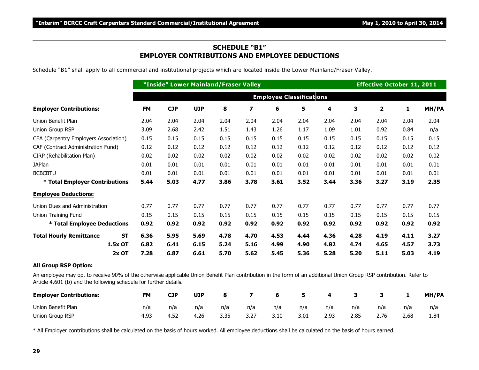#### **SCHEDULE "B1" EMPLOYER CONTRIBUTIONS AND EMPLOYEE DEDUCTIONS**

Schedule "B1" shall apply to all commercial and institutional projects which are located inside the Lower Mainland/Fraser Valley.

|                                             |                                 | "Inside" Lower Mainland/Fraser Valley |            |      | <b>Effective October 11, 2011</b> |      |      |      |      |      |      |       |
|---------------------------------------------|---------------------------------|---------------------------------------|------------|------|-----------------------------------|------|------|------|------|------|------|-------|
|                                             | <b>Employee Classifications</b> |                                       |            |      |                                   |      |      |      |      |      |      |       |
| <b>Employer Contributions:</b>              | <b>FM</b>                       | <b>CJP</b>                            | <b>UJP</b> | 8    | $\overline{\mathbf{z}}$           | 6    | 5    | 4    | 3    | 2    | 1    | MH/PA |
| Union Benefit Plan                          | 2.04                            | 2.04                                  | 2.04       | 2.04 | 2.04                              | 2.04 | 2.04 | 2.04 | 2.04 | 2.04 | 2.04 | 2.04  |
| Union Group RSP                             | 3.09                            | 2.68                                  | 2.42       | 1.51 | 1.43                              | 1.26 | 1.17 | 1.09 | 1.01 | 0.92 | 0.84 | n/a   |
| CEA (Carpentry Employers Association)       | 0.15                            | 0.15                                  | 0.15       | 0.15 | 0.15                              | 0.15 | 0.15 | 0.15 | 0.15 | 0.15 | 0.15 | 0.15  |
| CAF (Contract Administration Fund)          | 0.12                            | 0.12                                  | 0.12       | 0.12 | 0.12                              | 0.12 | 0.12 | 0.12 | 0.12 | 0.12 | 0.12 | 0.12  |
| CIRP (Rehabilitation Plan)                  | 0.02                            | 0.02                                  | 0.02       | 0.02 | 0.02                              | 0.02 | 0.02 | 0.02 | 0.02 | 0.02 | 0.02 | 0.02  |
| <b>JAPlan</b>                               | 0.01                            | 0.01                                  | 0.01       | 0.01 | 0.01                              | 0.01 | 0.01 | 0.01 | 0.01 | 0.01 | 0.01 | 0.01  |
| <b>BCBCBTU</b>                              | 0.01                            | 0.01                                  | 0.01       | 0.01 | 0.01                              | 0.01 | 0.01 | 0.01 | 0.01 | 0.01 | 0.01 | 0.01  |
| * Total Employer Contributions              | 5.44                            | 5.03                                  | 4.77       | 3.86 | 3.78                              | 3.61 | 3.52 | 3.44 | 3.36 | 3.27 | 3.19 | 2.35  |
| <b>Employee Deductions:</b>                 |                                 |                                       |            |      |                                   |      |      |      |      |      |      |       |
| Union Dues and Administration               | 0.77                            | 0.77                                  | 0.77       | 0.77 | 0.77                              | 0.77 | 0.77 | 0.77 | 0.77 | 0.77 | 0.77 | 0.77  |
| Union Training Fund                         | 0.15                            | 0.15                                  | 0.15       | 0.15 | 0.15                              | 0.15 | 0.15 | 0.15 | 0.15 | 0.15 | 0.15 | 0.15  |
| * Total Employee Deductions                 | 0.92                            | 0.92                                  | 0.92       | 0.92 | 0.92                              | 0.92 | 0.92 | 0.92 | 0.92 | 0.92 | 0.92 | 0.92  |
| <b>Total Hourly Remittance</b><br><b>ST</b> | 6.36                            | 5.95                                  | 5.69       | 4.78 | 4.70                              | 4.53 | 4.44 | 4.36 | 4.28 | 4.19 | 4.11 | 3.27  |
| 1.5x OT                                     | 6.82                            | 6.41                                  | 6.15       | 5.24 | 5.16                              | 4.99 | 4.90 | 4.82 | 4.74 | 4.65 | 4.57 | 3.73  |
| $2x$ OT                                     | 7.28                            | 6.87                                  | 6.61       | 5.70 | 5.62                              | 5.45 | 5.36 | 5.28 | 5.20 | 5.11 | 5.03 | 4.19  |

#### **All Group RSP Option:**

An employee may opt to receive 90% of the otherwise applicable Union Benefit Plan contribution in the form of an additional Union Group RSP contribution. Refer to Article 4.601 (b) and the following schedule for further details.

| <b>Employer Contributions:</b> | <b>FM</b> | <b>CJP</b> | <b>UJP</b> | 8    |      | 6    |      | 4    |      |      |      | <b>MH/PA</b> |
|--------------------------------|-----------|------------|------------|------|------|------|------|------|------|------|------|--------------|
| Union Benefit Plan             | n/a       | n/a        | n/a        | n/a  | n/a  | n/a  | n/a  | n/a  | n/a  | n/a  | n/a  | n/a          |
| Union Group RSP                | 4.93      | 4.52       | 4.26       | 3.35 | 3.27 | 3.10 | 3.01 | 2.93 | 2.85 | 2.76 | 2.68 | .84          |

\* All Employer contributions shall be calculated on the basis of hours worked. All employee deductions shall be calculated on the basis of hours earned.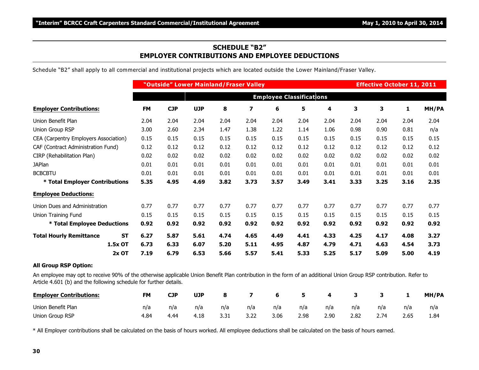#### **SCHEDULE "B2" EMPLOYER CONTRIBUTIONS AND EMPLOYEE DEDUCTIONS**

Schedule "B2" shall apply to all commercial and institutional projects which are located outside the Lower Mainland/Fraser Valley.

|                                             |                                 | "Outside" Lower Mainland/Fraser Valley<br><b>Effective October 11, 2011</b> |            |      |                         |      |      |      |      |      |      |       |
|---------------------------------------------|---------------------------------|-----------------------------------------------------------------------------|------------|------|-------------------------|------|------|------|------|------|------|-------|
|                                             | <b>Employee Classifications</b> |                                                                             |            |      |                         |      |      |      |      |      |      |       |
| <b>Employer Contributions:</b>              | <b>FM</b>                       | <b>CJP</b>                                                                  | <b>UJP</b> | 8    | $\overline{\mathbf{z}}$ | 6    | 5    | 4    | 3    | 3    | 1    | MH/PA |
| Union Benefit Plan                          | 2.04                            | 2.04                                                                        | 2.04       | 2.04 | 2.04                    | 2.04 | 2.04 | 2.04 | 2.04 | 2.04 | 2.04 | 2.04  |
| Union Group RSP                             | 3.00                            | 2.60                                                                        | 2.34       | 1.47 | 1.38                    | 1.22 | 1.14 | 1.06 | 0.98 | 0.90 | 0.81 | n/a   |
| CEA (Carpentry Employers Association)       | 0.15                            | 0.15                                                                        | 0.15       | 0.15 | 0.15                    | 0.15 | 0.15 | 0.15 | 0.15 | 0.15 | 0.15 | 0.15  |
| CAF (Contract Administration Fund)          | 0.12                            | 0.12                                                                        | 0.12       | 0.12 | 0.12                    | 0.12 | 0.12 | 0.12 | 0.12 | 0.12 | 0.12 | 0.12  |
| CIRP (Rehabilitation Plan)                  | 0.02                            | 0.02                                                                        | 0.02       | 0.02 | 0.02                    | 0.02 | 0.02 | 0.02 | 0.02 | 0.02 | 0.02 | 0.02  |
| <b>JAPlan</b>                               | 0.01                            | 0.01                                                                        | 0.01       | 0.01 | 0.01                    | 0.01 | 0.01 | 0.01 | 0.01 | 0.01 | 0.01 | 0.01  |
| <b>BCBCBTU</b>                              | 0.01                            | 0.01                                                                        | 0.01       | 0.01 | 0.01                    | 0.01 | 0.01 | 0.01 | 0.01 | 0.01 | 0.01 | 0.01  |
| * Total Employer Contributions              | 5.35                            | 4.95                                                                        | 4.69       | 3.82 | 3.73                    | 3.57 | 3.49 | 3.41 | 3.33 | 3.25 | 3.16 | 2.35  |
| <b>Employee Deductions:</b>                 |                                 |                                                                             |            |      |                         |      |      |      |      |      |      |       |
| Union Dues and Administration               | 0.77                            | 0.77                                                                        | 0.77       | 0.77 | 0.77                    | 0.77 | 0.77 | 0.77 | 0.77 | 0.77 | 0.77 | 0.77  |
| Union Training Fund                         | 0.15                            | 0.15                                                                        | 0.15       | 0.15 | 0.15                    | 0.15 | 0.15 | 0.15 | 0.15 | 0.15 | 0.15 | 0.15  |
| * Total Employee Deductions                 | 0.92                            | 0.92                                                                        | 0.92       | 0.92 | 0.92                    | 0.92 | 0.92 | 0.92 | 0.92 | 0.92 | 0.92 | 0.92  |
| <b>Total Hourly Remittance</b><br><b>ST</b> | 6.27                            | 5.87                                                                        | 5.61       | 4.74 | 4.65                    | 4.49 | 4.41 | 4.33 | 4.25 | 4.17 | 4.08 | 3.27  |
| 1.5x OT                                     | 6.73                            | 6.33                                                                        | 6.07       | 5.20 | 5.11                    | 4.95 | 4.87 | 4.79 | 4.71 | 4.63 | 4.54 | 3.73  |
| 2x OT                                       | 7.19                            | 6.79                                                                        | 6.53       | 5.66 | 5.57                    | 5.41 | 5.33 | 5.25 | 5.17 | 5.09 | 5.00 | 4.19  |

#### **All Group RSP Option:**

An employee may opt to receive 90% of the otherwise applicable Union Benefit Plan contribution in the form of an additional Union Group RSP contribution. Refer to Article 4.601 (b) and the following schedule for further details.

| <b>Employer Contributions:</b> | <b>FM</b> | <b>CJP</b> | UJP  | 8    |      | 6    |      | 4    |      |      |      | MH/PA |
|--------------------------------|-----------|------------|------|------|------|------|------|------|------|------|------|-------|
| Union Benefit Plan             | n/a       | n/a        | n/a  | n/a  | n/a  | n/a  | n/a  | n/a  | n/a  | n/a  | n/a  | n/a   |
| Union Group RSP                | 4.84      | 4.44       | 4.18 | 3.31 | 3.22 | 3.06 | 2.98 | 2.90 | 2.82 | 2.74 | 2.65 | 1.84  |

\* All Employer contributions shall be calculated on the basis of hours worked. All employee deductions shall be calculated on the basis of hours earned.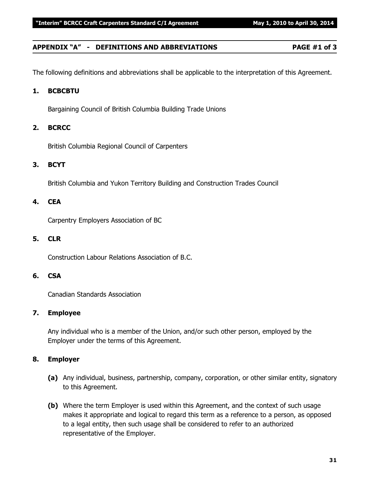#### **APPENDIX "A" - DEFINITIONS AND ABBREVIATIONS PAGE #1 of 3**

The following definitions and abbreviations shall be applicable to the interpretation of this Agreement.

#### **1. BCBCBTU**

Bargaining Council of British Columbia Building Trade Unions

#### **2. BCRCC**

British Columbia Regional Council of Carpenters

#### **3. BCYT**

British Columbia and Yukon Territory Building and Construction Trades Council

#### **4. CEA**

Carpentry Employers Association of BC

#### **5. CLR**

Construction Labour Relations Association of B.C.

#### **6. CSA**

Canadian Standards Association

#### **7. Employee**

Any individual who is a member of the Union, and/or such other person, employed by the Employer under the terms of this Agreement.

#### **8. Employer**

- **(a)** Any individual, business, partnership, company, corporation, or other similar entity, signatory to this Agreement.
- **(b)** Where the term Employer is used within this Agreement, and the context of such usage makes it appropriate and logical to regard this term as a reference to a person, as opposed to a legal entity, then such usage shall be considered to refer to an authorized representative of the Employer.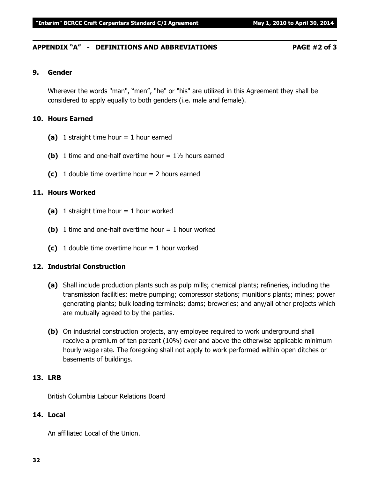#### **APPENDIX "A" - DEFINITIONS AND ABBREVIATIONS PAGE #2 of 3**

#### **9. Gender**

Wherever the words "man", "men", "he" or "his" are utilized in this Agreement they shall be considered to apply equally to both genders (i.e. male and female).

#### **10. Hours Earned**

- **(a)** 1 straight time hour = 1 hour earned
- **(b)** 1 time and one-half overtime hour  $= 1\frac{1}{2}$  hours earned
- **(c)** 1 double time overtime hour = 2 hours earned

#### **11. Hours Worked**

- **(a)** 1 straight time hour = 1 hour worked
- **(b)** 1 time and one-half overtime hour  $= 1$  hour worked
- **(c)** 1 double time overtime hour  $= 1$  hour worked

#### **12. Industrial Construction**

- **(a)** Shall include production plants such as pulp mills; chemical plants; refineries, including the transmission facilities; metre pumping; compressor stations; munitions plants; mines; power generating plants; bulk loading terminals; dams; breweries; and any/all other projects which are mutually agreed to by the parties.
- **(b)** On industrial construction projects, any employee required to work underground shall receive a premium of ten percent (10%) over and above the otherwise applicable minimum hourly wage rate. The foregoing shall not apply to work performed within open ditches or basements of buildings.

#### **13. LRB**

British Columbia Labour Relations Board

#### **14. Local**

An affiliated Local of the Union.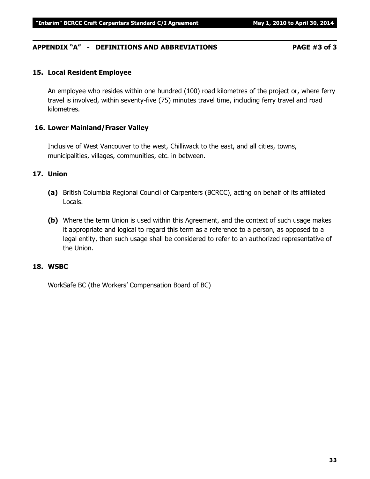## **APPENDIX "A" - DEFINITIONS AND ABBREVIATIONS PAGE #3 of 3**

#### **15. Local Resident Employee**

An employee who resides within one hundred (100) road kilometres of the project or, where ferry travel is involved, within seventy-five (75) minutes travel time, including ferry travel and road kilometres.

#### **16. Lower Mainland/Fraser Valley**

Inclusive of West Vancouver to the west, Chilliwack to the east, and all cities, towns, municipalities, villages, communities, etc. in between.

#### **17. Union**

- **(a)** British Columbia Regional Council of Carpenters (BCRCC), acting on behalf of its affiliated Locals.
- **(b)** Where the term Union is used within this Agreement, and the context of such usage makes it appropriate and logical to regard this term as a reference to a person, as opposed to a legal entity, then such usage shall be considered to refer to an authorized representative of the Union.

#### **18. WSBC**

WorkSafe BC (the Workers' Compensation Board of BC)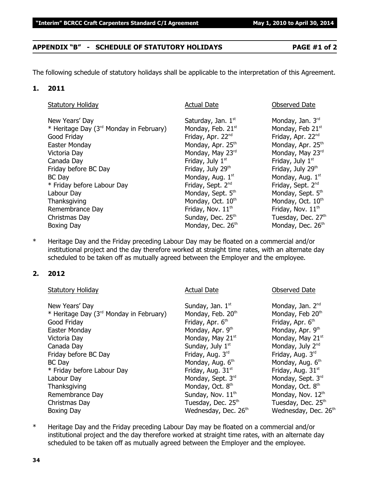#### **APPENDIX "B" - SCHEDULE OF STATUTORY HOLIDAYS PAGE #1 of 2**

The following schedule of statutory holidays shall be applicable to the interpretation of this Agreement.

#### **1. 2011**

| <b>Statutory Holiday</b>                            | <b>Actual Date</b>            | <b>Observed Date</b>          |
|-----------------------------------------------------|-------------------------------|-------------------------------|
| New Years' Day                                      | Saturday, Jan. $1st$          | Monday, Jan. 3rd              |
| * Heritage Day (3 <sup>rd</sup> Monday in February) | Monday, Feb. 21st             | Monday, Feb 21st              |
| Good Friday                                         | Friday, Apr. 22 <sup>nd</sup> | Friday, Apr. 22nd             |
| Easter Monday                                       | Monday, Apr. 25 <sup>th</sup> | Monday, Apr. 25 <sup>th</sup> |
| Victoria Day                                        | Monday, May 23rd              | Monday, May 23rd              |
| Canada Day                                          | Friday, July 1 <sup>st</sup>  | Friday, July 1 <sup>st</sup>  |
| Friday before BC Day                                | Friday, July 29th             | Friday, July 29th             |
| <b>BC</b> Day                                       | Monday, Aug. 1st              | Monday, Aug. 1st              |
| * Friday before Labour Day                          | Friday, Sept. 2 <sup>nd</sup> | Friday, Sept. 2 <sup>nd</sup> |
| Labour Day                                          | Monday, Sept. 5th             | Monday, Sept. 5th             |
| Thanksgiving                                        | Monday, Oct. 10th             | Monday, Oct. 10 <sup>th</sup> |
| Remembrance Day                                     | Friday, Nov. 11 <sup>th</sup> | Friday, Nov. 11 <sup>th</sup> |
| Christmas Day                                       | Sunday, Dec. 25th             | Tuesday, Dec. 27th            |
| Boxing Day                                          | Monday, Dec. 26th             | Monday, Dec. 26th             |

\* Heritage Day and the Friday preceding Labour Day may be floated on a commercial and/or institutional project and the day therefore worked at straight time rates, with an alternate day scheduled to be taken off as mutually agreed between the Employer and the employee.

#### **2. 2012**

| <b>Statutory Holiday</b>                            | <b>Actual Date</b>               | <b>Observed Date</b>             |
|-----------------------------------------------------|----------------------------------|----------------------------------|
| New Years' Day                                      | Sunday, Jan. 1st                 | Monday, Jan. 2 <sup>nd</sup>     |
| * Heritage Day (3 <sup>rd</sup> Monday in February) | Monday, Feb. 20th                | Monday, Feb 20th                 |
| Good Friday                                         | Friday, Apr. 6 <sup>th</sup>     | Friday, Apr. 6 <sup>th</sup>     |
| Easter Monday                                       | Monday, Apr. 9th                 | Monday, Apr. 9th                 |
| Victoria Day                                        | Monday, May 21st                 | Monday, May 21st                 |
| Canada Day                                          | Sunday, July 1st                 | Monday, July 2nd                 |
| Friday before BC Day                                | Friday, Aug. 3rd                 | Friday, Aug. 3rd                 |
| <b>BC</b> Day                                       | Monday, Aug. 6th                 | Monday, Aug. 6th                 |
| * Friday before Labour Day                          | Friday, Aug. 31 <sup>st</sup>    | Friday, Aug. 31 <sup>st</sup>    |
| Labour Day                                          | Monday, Sept. 3rd                | Monday, Sept. 3rd                |
| Thanksgiving                                        | Monday, Oct. 8 <sup>th</sup>     | Monday, Oct. 8 <sup>th</sup>     |
| Remembrance Day                                     | Sunday, Nov. 11 <sup>th</sup>    | Monday, Nov. 12th                |
| Christmas Day                                       | Tuesday, Dec. 25th               | Tuesday, Dec. 25 <sup>th</sup>   |
| Boxing Day                                          | Wednesday, Dec. 26 <sup>th</sup> | Wednesday, Dec. 26 <sup>th</sup> |

\* Heritage Day and the Friday preceding Labour Day may be floated on a commercial and/or institutional project and the day therefore worked at straight time rates, with an alternate day scheduled to be taken off as mutually agreed between the Employer and the employee.